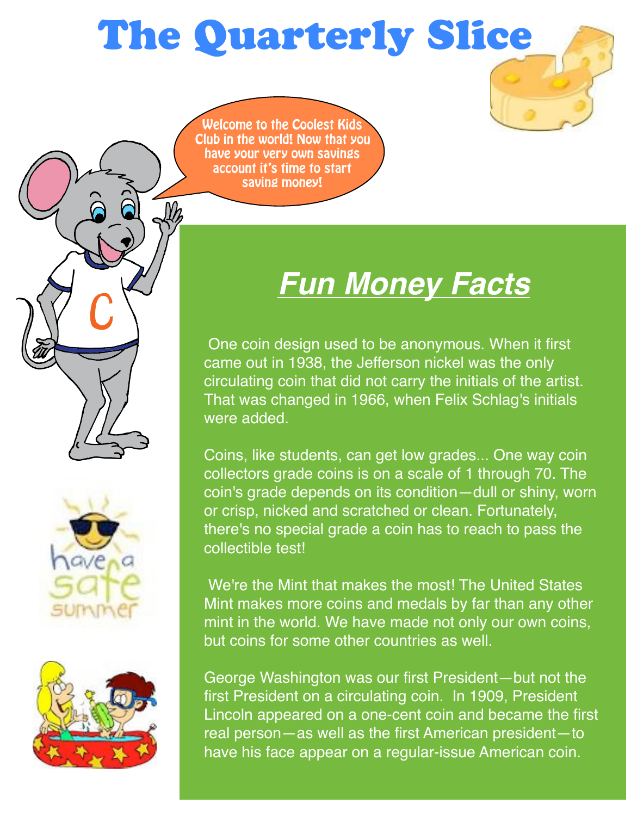# The Quarterly Slice

Welcome to the Coolest Kids Club in the world! Now that you have your very own savings account it's time to start saving money!

# *Fun Money Facts*

 One coin design used to be anonymous. When it first came out in 1938, the Jefferson nickel was the only circulating coin that did not carry the initials of the artist. That was changed in 1966, when Felix Schlag's initials were added.

Coins, like students, can get low grades... One way coin collectors grade coins is on a scale of 1 through 70. The coin's grade depends on its condition—dull or shiny, worn or crisp, nicked and scratched or clean. Fortunately, there's no special grade a coin has to reach to pass the collectible test!

 We're the Mint that makes the most! The United States Mint makes more coins and medals by far than any other mint in the world. We have made not only our own coins, but coins for some other countries as well.

George Washington was our first President—but not the first President on a circulating coin. In 1909, President Lincoln appeared on a one-cent coin and became the first real person—as well as the first American president—to have his face appear on a regular-issue American coin.



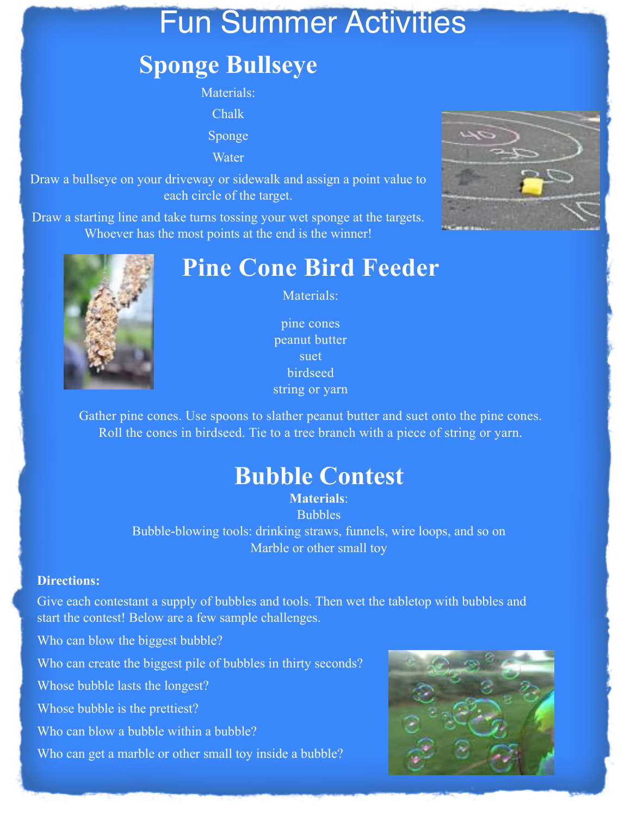## Fun Summer Activities

### **Sponge Bullseye**

Materials: Chalk Sponge

**Water** 

Draw a bullseye on your driveway or sidewalk and assign a point value to each circle of the target.

Draw a starting line and take turns tossing your wet sponge at the targets. Whoever has the most points at the end is the winner!





### **Pine Cone Bird Feeder**

Materials:

pine cones peanut butter suet birdseed string or yarn

Gather pine cones. Use spoons to slather peanut butter and suet onto the pine cones. Roll the cones in birdseed. Tie to a tree branch with a piece of string or yarn.

### **Bubble Contest**

**Materials**: Bubbles Bubble-blowing tools: drinking straws, funnels, wire loops, and so on Marble or other small toy

#### **Directions:**

Give each contestant a supply of bubbles and tools. Then wet the tabletop with bubbles and start the contest! Below are a few sample challenges.

Who can blow the biggest bubble?

Who can create the biggest pile of bubbles in thirty seconds?

Whose bubble lasts the longest?

Whose bubble is the prettiest?

Who can blow a bubble within a bubble?

Who can get a marble or other small toy inside a bubble?

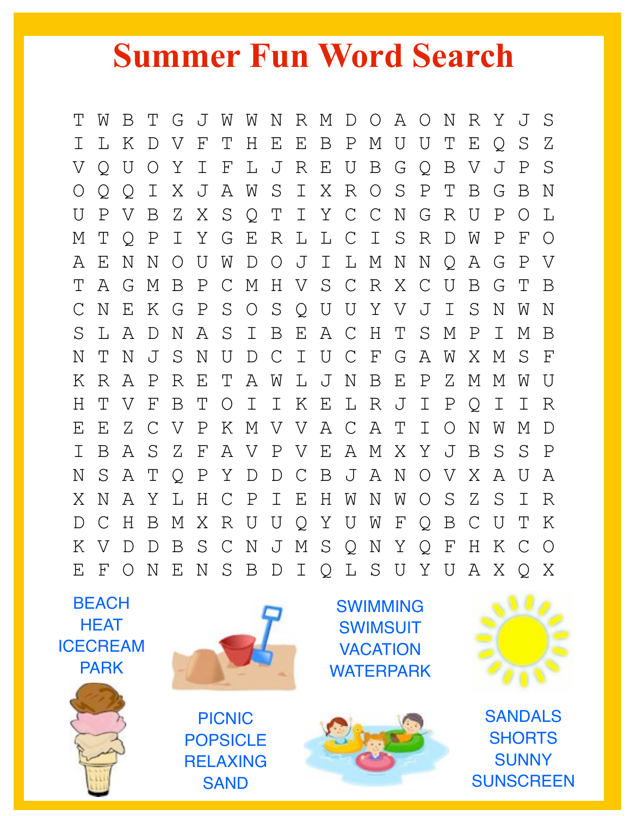# **Summer Fun Word Search**

T W B T G J W W N R M D O A O N R Y J S I L K D V F T H E E B P M U U T E Q S Z V Q U O Y I F L J R E U B G Q B V J P S O Q Q I X J A W S I X R O S P T B G B N U P V B Z X S Q T I Y C C N G R U P O L M T Q P I Y G E R L L C I S R D W P F O A E N N O U W D O J I L M N N Q A G P V T A G M B P C M H V S C R X C U B G T B C N E K G P S O S Q U U Y V J I S N W N S L A D N A S I B E A C H T S M P I M B N T N J S N U D C I U C F G A W X M S F K R A P R E T A W L J N B E P Z M M W U H T V F B T O I I K E L R J I P Q I I R E E Z C V P K M V V A C A T I O N W M D I B A S Z F A V P V E A M X Y J B S S P N S A T Q P Y D D C B J A N O V X A U A X N A Y L H C P I E H W N W O S Z S I R D C H B M X R U U Q Y U W F Q B C U T K K V D D B S C N J M S Q N Y Q F H K C O E F O N E N S B D I Q L S U Y U A X Q X

**BEACH HFAT** ICECREAM PARK



SWIMMING **SWIMSUIT** VACATION WATERPARK



SANDALS **SHORTS SUNNY SUNSCREEN** 



PICNIC POPSICLE RELAXING **SAND**